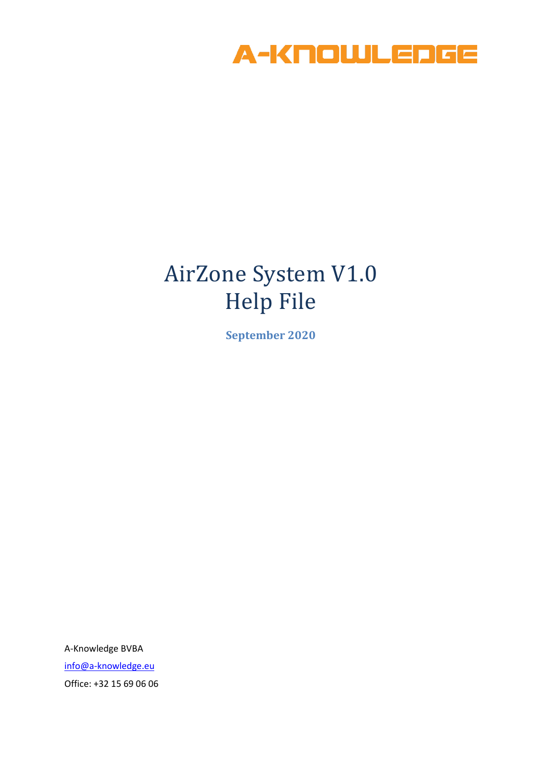

# AirZone System V1.0 Help File

**September 2020**

A-Knowledge BVBA [info@a-knowledge.eu](mailto:info@a-knowledge.eu) Office: +32 15 69 06 06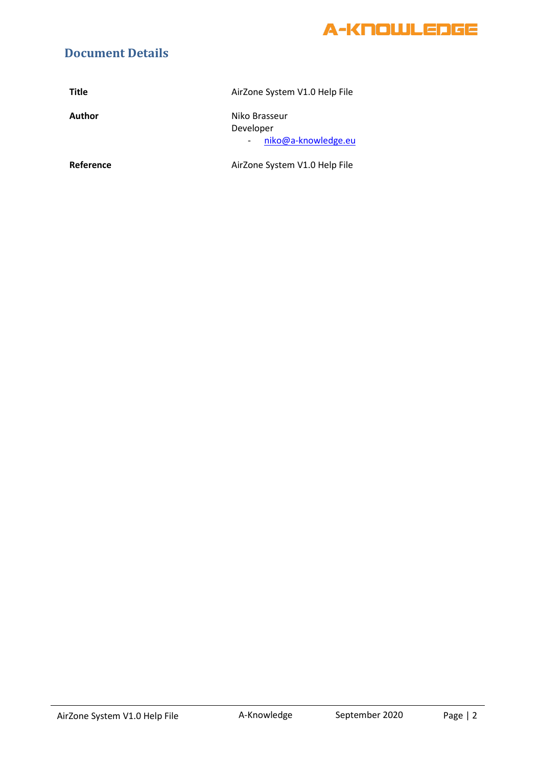

#### **Document Details**

| <b>Title</b> | AirZone System V1.0 Help File                     |
|--------------|---------------------------------------------------|
| Author       | Niko Brasseur<br>Developer<br>niko@a-knowledge.eu |
| Reference    | AirZone System V1.0 Help File                     |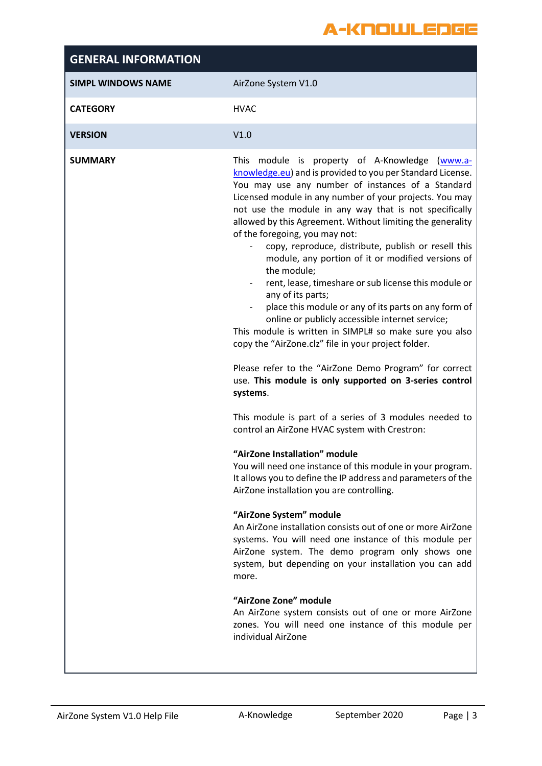### A-KNOWLEDGE

| <b>SIMPL WINDOWS NAME</b><br>AirZone System V1.0<br><b>CATEGORY</b><br><b>HVAC</b><br><b>VERSION</b><br>V1.0<br><b>SUMMARY</b><br>of the foregoing, you may not:<br>the module;<br>any of its parts;<br>$\sim$<br>online or publicly accessible internet service;<br>copy the "AirZone.clz" file in your project folder.<br>systems. | <b>GENERAL INFORMATION</b> |                                                                                                                                                                                                                                                                                                                                                                                                                                                                                                                                                                                                                                                                                                                                                                                                                                                                                                                                                                                                                                                                                                                                                                                                                                                                                                               |
|--------------------------------------------------------------------------------------------------------------------------------------------------------------------------------------------------------------------------------------------------------------------------------------------------------------------------------------|----------------------------|---------------------------------------------------------------------------------------------------------------------------------------------------------------------------------------------------------------------------------------------------------------------------------------------------------------------------------------------------------------------------------------------------------------------------------------------------------------------------------------------------------------------------------------------------------------------------------------------------------------------------------------------------------------------------------------------------------------------------------------------------------------------------------------------------------------------------------------------------------------------------------------------------------------------------------------------------------------------------------------------------------------------------------------------------------------------------------------------------------------------------------------------------------------------------------------------------------------------------------------------------------------------------------------------------------------|
|                                                                                                                                                                                                                                                                                                                                      |                            |                                                                                                                                                                                                                                                                                                                                                                                                                                                                                                                                                                                                                                                                                                                                                                                                                                                                                                                                                                                                                                                                                                                                                                                                                                                                                                               |
|                                                                                                                                                                                                                                                                                                                                      |                            |                                                                                                                                                                                                                                                                                                                                                                                                                                                                                                                                                                                                                                                                                                                                                                                                                                                                                                                                                                                                                                                                                                                                                                                                                                                                                                               |
|                                                                                                                                                                                                                                                                                                                                      |                            |                                                                                                                                                                                                                                                                                                                                                                                                                                                                                                                                                                                                                                                                                                                                                                                                                                                                                                                                                                                                                                                                                                                                                                                                                                                                                                               |
| control an AirZone HVAC system with Crestron:<br>"AirZone Installation" module<br>AirZone installation you are controlling.<br>"AirZone System" module<br>more.<br>"AirZone Zone" module<br>individual AirZone                                                                                                                       |                            | This module is property of A-Knowledge (www.a-<br>knowledge.eu) and is provided to you per Standard License.<br>You may use any number of instances of a Standard<br>Licensed module in any number of your projects. You may<br>not use the module in any way that is not specifically<br>allowed by this Agreement. Without limiting the generality<br>copy, reproduce, distribute, publish or resell this<br>module, any portion of it or modified versions of<br>rent, lease, timeshare or sub license this module or<br>place this module or any of its parts on any form of<br>This module is written in SIMPL# so make sure you also<br>Please refer to the "AirZone Demo Program" for correct<br>use. This module is only supported on 3-series control<br>This module is part of a series of 3 modules needed to<br>You will need one instance of this module in your program.<br>It allows you to define the IP address and parameters of the<br>An AirZone installation consists out of one or more AirZone<br>systems. You will need one instance of this module per<br>AirZone system. The demo program only shows one<br>system, but depending on your installation you can add<br>An AirZone system consists out of one or more AirZone<br>zones. You will need one instance of this module per |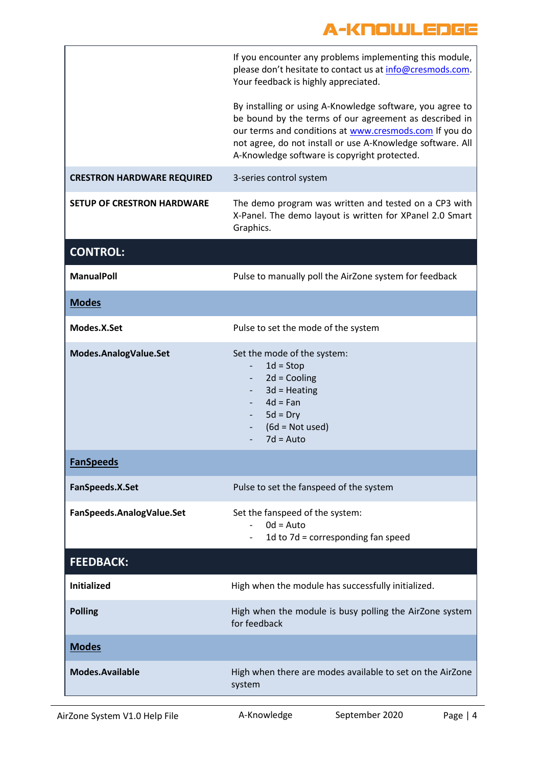### A-KNOUJLEDGE

|                                   | If you encounter any problems implementing this module,<br>please don't hesitate to contact us at info@cresmods.com.<br>Your feedback is highly appreciated.                                                                                                                                |
|-----------------------------------|---------------------------------------------------------------------------------------------------------------------------------------------------------------------------------------------------------------------------------------------------------------------------------------------|
|                                   | By installing or using A-Knowledge software, you agree to<br>be bound by the terms of our agreement as described in<br>our terms and conditions at www.cresmods.com If you do<br>not agree, do not install or use A-Knowledge software. All<br>A-Knowledge software is copyright protected. |
| <b>CRESTRON HARDWARE REQUIRED</b> | 3-series control system                                                                                                                                                                                                                                                                     |
| <b>SETUP OF CRESTRON HARDWARE</b> | The demo program was written and tested on a CP3 with<br>X-Panel. The demo layout is written for XPanel 2.0 Smart<br>Graphics.                                                                                                                                                              |
| <b>CONTROL:</b>                   |                                                                                                                                                                                                                                                                                             |
| <b>ManualPoll</b>                 | Pulse to manually poll the AirZone system for feedback                                                                                                                                                                                                                                      |
| <b>Modes</b>                      |                                                                                                                                                                                                                                                                                             |
| Modes.X.Set                       | Pulse to set the mode of the system                                                                                                                                                                                                                                                         |
| Modes.AnalogValue.Set             | Set the mode of the system:<br>$1d = Stop$<br>$\overline{\phantom{a}}$<br>$2d =$ Cooling<br>$3d$ = Heating<br>$4d = Fan$<br>$5d = Dry$<br>$(6d = Not used)$<br>$7d = Auto$                                                                                                                  |
| <b>FanSpeeds</b>                  |                                                                                                                                                                                                                                                                                             |
| FanSpeeds.X.Set                   | Pulse to set the fanspeed of the system                                                                                                                                                                                                                                                     |
| FanSpeeds.AnalogValue.Set         | Set the fanspeed of the system:<br>$0d = Auto$<br>1d to 7d = corresponding fan speed                                                                                                                                                                                                        |
| <b>FEEDBACK:</b>                  |                                                                                                                                                                                                                                                                                             |
| <b>Initialized</b>                | High when the module has successfully initialized.                                                                                                                                                                                                                                          |
| <b>Polling</b>                    | High when the module is busy polling the AirZone system<br>for feedback                                                                                                                                                                                                                     |
| <b>Modes</b>                      |                                                                                                                                                                                                                                                                                             |
| <b>Modes.Available</b>            | High when there are modes available to set on the AirZone<br>system                                                                                                                                                                                                                         |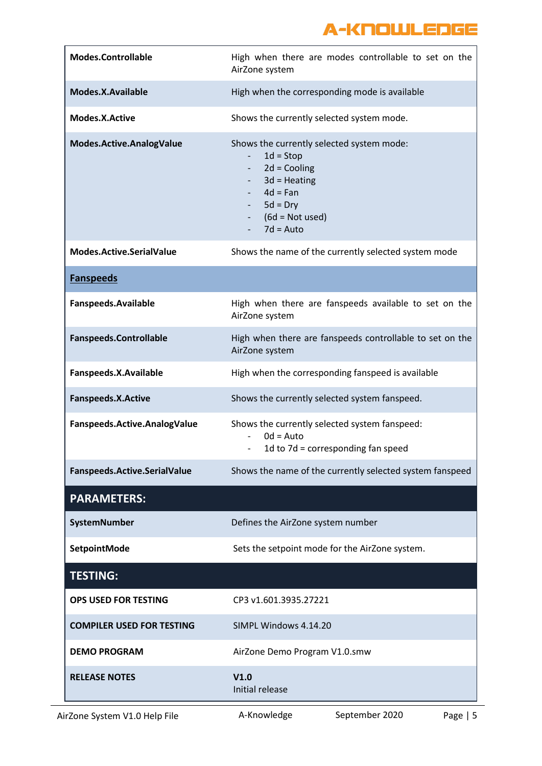## A-KNOWLEDGE

| <b>Modes.Controllable</b>        | High when there are modes controllable to set on the<br>AirZone system                                                                                                                                           |
|----------------------------------|------------------------------------------------------------------------------------------------------------------------------------------------------------------------------------------------------------------|
| Modes.X.Available                | High when the corresponding mode is available                                                                                                                                                                    |
| Modes.X.Active                   | Shows the currently selected system mode.                                                                                                                                                                        |
| Modes.Active.AnalogValue         | Shows the currently selected system mode:<br>$1d = Stop$<br>$\overline{\phantom{a}}$<br>$2d =$ Cooling<br>$\sim$<br>$3d$ = Heating<br>$4d = Fan$<br>$5d = Dry$<br>$(6d = Not used)$<br>$\sim 100$<br>$7d = Auto$ |
| Modes.Active.SerialValue         | Shows the name of the currently selected system mode                                                                                                                                                             |
| <b>Fanspeeds</b>                 |                                                                                                                                                                                                                  |
| Fanspeeds.Available              | High when there are fanspeeds available to set on the<br>AirZone system                                                                                                                                          |
| <b>Fanspeeds.Controllable</b>    | High when there are fanspeeds controllable to set on the<br>AirZone system                                                                                                                                       |
| Fanspeeds.X.Available            | High when the corresponding fanspeed is available                                                                                                                                                                |
| Fanspeeds.X.Active               | Shows the currently selected system fanspeed.                                                                                                                                                                    |
| Fanspeeds.Active.AnalogValue     | Shows the currently selected system fanspeed:<br>$0d = Auto$<br>$\overline{\phantom{a}}$<br>1d to 7d = corresponding fan speed                                                                                   |
| Fanspeeds.Active.SerialValue     | Shows the name of the currently selected system fanspeed                                                                                                                                                         |
| <b>PARAMETERS:</b>               |                                                                                                                                                                                                                  |
| SystemNumber                     | Defines the AirZone system number                                                                                                                                                                                |
| SetpointMode                     | Sets the setpoint mode for the AirZone system.                                                                                                                                                                   |
| <b>TESTING:</b>                  |                                                                                                                                                                                                                  |
| <b>OPS USED FOR TESTING</b>      | CP3 v1.601.3935.27221                                                                                                                                                                                            |
| <b>COMPILER USED FOR TESTING</b> | SIMPL Windows 4.14.20                                                                                                                                                                                            |
| <b>DEMO PROGRAM</b>              | AirZone Demo Program V1.0.smw                                                                                                                                                                                    |
| <b>RELEASE NOTES</b>             | V1.0<br>Initial release                                                                                                                                                                                          |